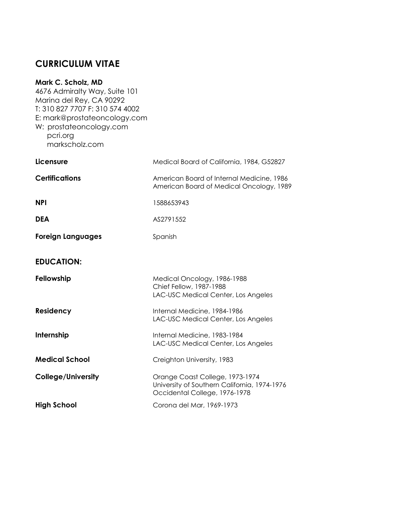# **CURRICULUM VITAE**

# **Mark C. Scholz, MD**

4676 Admiralty Way, Suite 101 Marina del Rey, CA 90292 T: 310 827 7707 F: 310 574 4002 E: [mark@prostateoncology.com](mailto:mark@prostateoncology.com) W: prostateoncology.com pcri.org markscholz.com

| Licensure                 | Medical Board of California, 1984, G52827                                                                        |
|---------------------------|------------------------------------------------------------------------------------------------------------------|
| <b>Certifications</b>     | American Board of Internal Medicine, 1986<br>American Board of Medical Oncology, 1989                            |
| <b>NPI</b>                | 1588653943                                                                                                       |
| <b>DEA</b>                | AS2791552                                                                                                        |
| <b>Foreign Languages</b>  | Spanish                                                                                                          |
| <b>EDUCATION:</b>         |                                                                                                                  |
| Fellowship                | Medical Oncology, 1986-1988<br>Chief Fellow, 1987-1988<br>LAC-USC Medical Center, Los Angeles                    |
| Residency                 | Internal Medicine, 1984-1986<br>LAC-USC Medical Center, Los Angeles                                              |
| Internship                | Internal Medicine, 1983-1984<br>LAC-USC Medical Center, Los Angeles                                              |
| <b>Medical School</b>     | Creighton University, 1983                                                                                       |
| <b>College/University</b> | Orange Coast College, 1973-1974<br>University of Southern California, 1974-1976<br>Occidental College, 1976-1978 |
| <b>High School</b>        | Corona del Mar, 1969-1973                                                                                        |
|                           |                                                                                                                  |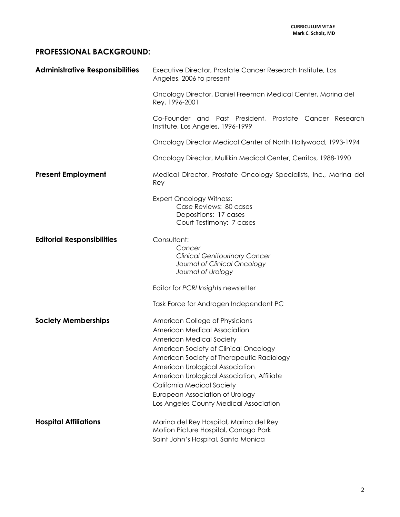# **PROFESSIONAL BACKGROUND:**

| <b>Administrative Responsibilities</b> | Executive Director, Prostate Cancer Research Institute, Los<br>Angeles, 2006 to present                                                                                                                                                                                                                                                                                                    |
|----------------------------------------|--------------------------------------------------------------------------------------------------------------------------------------------------------------------------------------------------------------------------------------------------------------------------------------------------------------------------------------------------------------------------------------------|
|                                        | Oncology Director, Daniel Freeman Medical Center, Marina del<br>Rey, 1996-2001                                                                                                                                                                                                                                                                                                             |
|                                        | Co-Founder and Past President, Prostate Cancer Research<br>Institute, Los Angeles, 1996-1999                                                                                                                                                                                                                                                                                               |
|                                        | Oncology Director Medical Center of North Hollywood, 1993-1994                                                                                                                                                                                                                                                                                                                             |
|                                        | Oncology Director, Mullikin Medical Center, Cerritos, 1988-1990                                                                                                                                                                                                                                                                                                                            |
| <b>Present Employment</b>              | Medical Director, Prostate Oncology Specialists, Inc., Marina del<br>Rey                                                                                                                                                                                                                                                                                                                   |
|                                        | <b>Expert Oncology Witness:</b><br>Case Reviews: 80 cases<br>Depositions: 17 cases<br>Court Testimony: 7 cases                                                                                                                                                                                                                                                                             |
| <b>Editorial Responsibilities</b>      | Consultant:<br>Cancer<br><b>Clinical Genitourinary Cancer</b><br>Journal of Clinical Oncology<br>Journal of Urology                                                                                                                                                                                                                                                                        |
|                                        | Editor for PCRI Insights newsletter                                                                                                                                                                                                                                                                                                                                                        |
|                                        | Task Force for Androgen Independent PC                                                                                                                                                                                                                                                                                                                                                     |
| <b>Society Memberships</b>             | American College of Physicians<br><b>American Medical Association</b><br>American Medical Society<br>American Society of Clinical Oncology<br>American Society of Therapeutic Radiology<br>American Urological Association<br>American Urological Association, Affiliate<br><b>California Medical Society</b><br>European Association of Urology<br>Los Angeles County Medical Association |
| <b>Hospital Affiliations</b>           | Marina del Rey Hospital, Marina del Rey<br>Motion Picture Hospital, Canoga Park<br>Saint John's Hospital, Santa Monica                                                                                                                                                                                                                                                                     |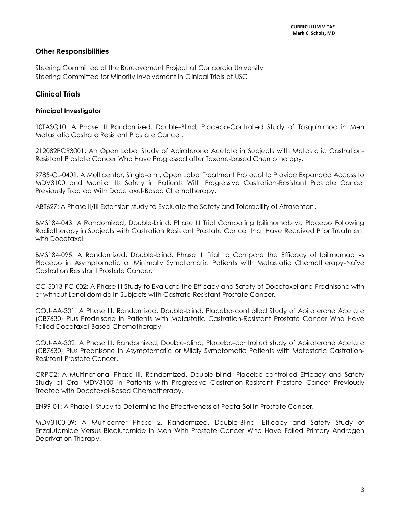### **Other Responsibilities**

Steering Committee of the Bereavement Project at Concordia University Steering Committee for Minority Involvement in Clinical Trials at USC

# **Clinical Trials**

### **Principal Investigator**

10TASQ10: A Phase III Randomized, Double-Blind, Placebo-Controlled Study of Tasquinimod in Men Metastatic Castrate Resistant Prostate Cancer.

212082PCR3001: An Open Label Study of Abiraterone Acetate in Subjects with Metastatic Castration-Resistant Prostate Cancer Who Have Progressed after Taxane-based Chemotherapy.

9785-CL-0401: A Multicenter, Single-arm, Open Label Treatment Protocol to Provide Expanded Access to MDV3100 and Monitor Its Safety in Patients With Progressive Castration-Resistant Prostate Cancer Previously Treated With Docetaxel-Based Chemotherapy.

ABT627: A Phase II/III Extension study to Evaluate the Safety and Tolerability of Atrasentan.

BMS184-043: A Randomized, Double-blind, Phase III Trial Comparing Ipilimumab vs. Placebo Following Radiotherapy in Subjects with Castration Resistant Prostate Cancer that Have Received Prior Treatment with Docetaxel.

BMS184-095: A Randomized, Double-blind, Phase III Trial to Compare the Efficacy of Ipilimumab vs Placebo in Asymptomatic or Minimally Symptomatic Patients with Metastatic Chemotherapy-Naïve Castration Resistant Prostate Cancer.

CC-5013-PC-002: A Phase III Study to Evaluate the Efficacy and Safety of Docetaxel and Prednisone with or without Lenolidomide in Subjects with Castrate-Resistant Prostate Cancer.

COU-AA-301: A Phase III, Randomized, Double-blind, Placebo-controlled Study of Abiraterone Acetate (CB7630) Plus Prednisone in Patients with Metastatic Castration-Resistant Prostate Cancer Who Have Failed Docetaxel-Based Chemotherapy.

COU-AA-302: A Phase III, Randomized, Double-blind, Placebo-controlled study of Abiraterone Acetate (CB7630) Plus Prednisone in Asymptomatic or Mildly Symptomatic Patients with Metastatic Castration-Resistant Prostate Cancer.

CRPC2: A Multinational Phase III, Randomized, Double-blind, Placebo-controlled Efficacy and Safety Study of Oral MDV3100 in Patients with Progressive Castration-Resistant Prostate Cancer Previously Treated with Docetaxel-Based Chemotherapy.

EN99-01: A Phase II Study to Determine the Effectiveness of Pecta-Sol in Prostate Cancer.

MDV3100-09: A Multicenter Phase 2, Randomized, Double-Blind, Efficacy and Safety Study of Enzalutamide Versus Bicalutamide in Men With Prostate Cancer Who Have Failed Primary Androgen Deprivation Therapy.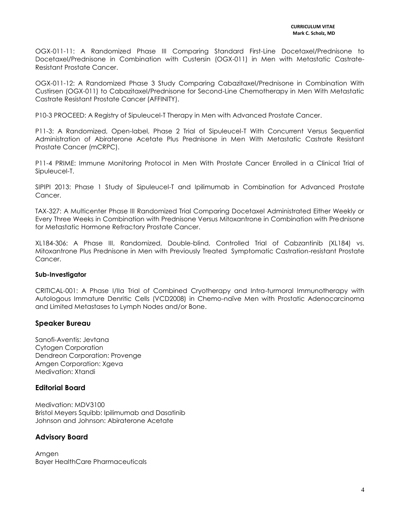OGX-011-11: A Randomized Phase III Comparing Standard First-Line Docetaxel/Prednisone to Docetaxel/Prednisone in Combination with Custersin (OGX-011) in Men with Metastatic Castrate-Resistant Prostate Cancer.

OGX-011-12: A Randomized Phase 3 Study Comparing Cabazitaxel/Prednisone in Combination With Custirsen (OGX-011) to Cabazitaxel/Prednisone for Second-Line Chemotherapy in Men With Metastatic Castrate Resistant Prostate Cancer (AFFINITY).

P10-3 PROCEED: A Registry of Sipuleucel-T Therapy in Men with Advanced Prostate Cancer.

P11-3: A Randomized, Open-label, Phase 2 Trial of Sipuleucel-T With Concurrent Versus Sequential Administration of Abiraterone Acetate Plus Prednisone in Men With Metastatic Castrate Resistant Prostate Cancer (mCRPC).

P11-4 PRIME: Immune Monitoring Protocol in Men With Prostate Cancer Enrolled in a Clinical Trial of Sipuleucel-T.

SIPIPI 2013: Phase 1 Study of Sipuleucel-T and Ipilimumab in Combination for Advanced Prostate Cancer.

TAX-327: A Multicenter Phase III Randomized Trial Comparing Docetaxel Administrated Either Weekly or Every Three Weeks in Combination with Prednisone Versus Mitoxantrone in Combination with Prednisone for Metastatic Hormone Refractory Prostate Cancer.

XL184-306: A Phase III, Randomized, Double-blind, Controlled Trial of Cabzantinib (XL184) vs. Mitoxantrone Plus Prednisone in Men with Previously Treated Symptomatic Castration-resistant Prostate Cancer.

### **Sub-Investigator**

CRITICAL-001: A Phase I/IIa Trial of Combined Cryotherapy and Intra-turmoral Immunotherapy with Autologous Immature Denritic Cells (VCD2008) in Chemo-naïve Men with Prostatic Adenocarcinoma and Limited Metastases to Lymph Nodes and/or Bone.

### **Speaker Bureau**

Sanofi-Aventis: Jevtana Cytogen Corporation Dendreon Corporation: Provenge Amgen Corporation: Xgeva Medivation: Xtandi

### **Editorial Board**

Medivation: MDV3100 Bristol Meyers Squibb: Ipilimumab and Dasatinib Johnson and Johnson: Abiraterone Acetate

### **Advisory Board**

Amgen Bayer HealthCare Pharmaceuticals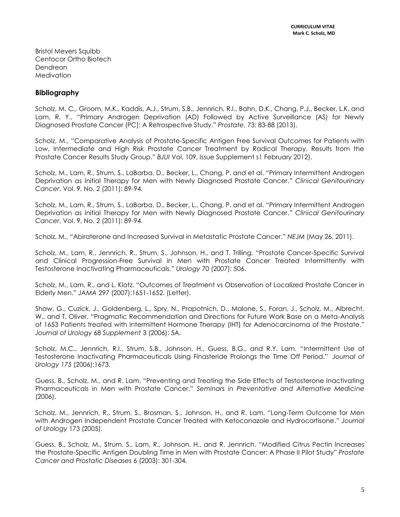Bristol Meyers Squibb Centocor Ortho Biotech Dendreon **Medivation** 

# **Bibliography**

Scholz, M. C., Groom, M.K., Kaddis, A.J., Strum, S.B., Jennrich, R.I., Bahn, D.K., Chang, P.J., Becker, L.K. and Lam, R. Y., "Primary Androgen Deprivation (AD) Followed by Active Surveillance (AS) for Newly Diagnosed Prostate Cancer (PC): A Retrospective Study." *Prostate*, 73: 83-88 (2013).

Scholz, M., "[Comparative Analysis of Prostate-Specific Antigen Free Survival Outcomes for Patients with](http://onlinelibrary.wiley.com/doi/10.1111/j.1464-410X.2011.10827.x/abstract)  [Low, Intermediate and High Risk Prostate Cancer Treatment by Radical Therapy. Results from the](http://onlinelibrary.wiley.com/doi/10.1111/j.1464-410X.2011.10827.x/abstract)  [Prostate Cancer Results Study Group](http://onlinelibrary.wiley.com/doi/10.1111/j.1464-410X.2011.10827.x/abstract)." *BJUI* Vol. 109, Issue Supplement s1 February 2012).

Scholz, M., Lam, R., Strum, S., LaBarba, D., Becker, L., Chang, P. and et al. "Primary Intermittent Androgen Deprivation as Initial Therapy for Men with Newly Diagnosed Prostate Cancer." *Clinical Genitourinary Cancer*, Vol. 9, No. 2 (2011): 89-94.

Scholz, M., Lam, R., Strum, S., LaBarba, D., Becker, L., Chang, P. and et al. "Primary Intermittent Androgen Deprivation as Initial Therapy for Men with Newly Diagnosed Prostate Cancer." *Clinical Genitourinary Cancer*, Vol. 9, No. 2 (2011): 89-94.

Scholz, M., "Abiraterone and Increased Survival in Metastatic Prostate Cancer." *NEJM* (May 26, 2011).

Scholz, M., Lam, R., Jennrich, R., Strum, S., Johnson, H., and T. Trilling. "Prostate Cancer-Specific Survival and Clinical Progression-Free Survival in Men with Prostate Cancer Treated Intermittently with Testosterone Inactivating Pharmaceuticals." *Urology* 70 (2007): 506.

Scholz, M., Lam, R., and L. Klotz. "Outcomes of Treatment vs Observation of Localized Prostate Cancer in Elderly Men." *JAMA* 297 (2007):1651-1652. (Letter).

Shaw, G., Cuzick, J., Goldenberg, L., Spry, N., Prapotnich, D., Malone, S., Foran, J., Scholz, M., Albrecht, W., and T. Oliver. "Pragmatic Recommendation and Directions for Future Work Base on a Meta-Analysis of 1653 Patients treated with Intermittent Hormone Therapy (IHT) for Adenocarcinoma of the Prostate." *Journal of Urology* 68 *Supplement* 3 (2006): 5A.

Scholz, M.C., Jennrich, R.I., Strum, S.B., Johnson, H., Guess, B.G., and R.Y. Lam. "Intermittent Use of Testosterone Inactivating Pharmaceuticals Using Finasteride Prolongs the Time Off Period." *Journal of Urology 175* (2006):1673.

Guess, B., Scholz, M., and R. Lam. "Preventing and Treating the Side Effects of Testosterone Inactivating Pharmaceuticals in Men with Prostate Cancer." *Seminars in Preventative and Alternative Medicine* (2006).

Scholz, M., Jennrich, R., Strum, S., Brosman, S., Johnson, H., and R. Lam. "Long-Term Outcome for Men with Androgen Independent Prostate Cancer Treated with Ketoconazole and Hydrocortisone." *Journal of Urology* 173 (2005).

Guess, B., Scholz, M., Strum, S., Lam, R., Johnson, H., and R. Jennrich. "Modified Citrus Pectin Increases the Prostate-Specific Antigen Doubling Time in Men with Prostate Cancer: A Phase II Pilot Study" *Prostate Cancer and Prostatic Diseases* 6 (2003): 301-304.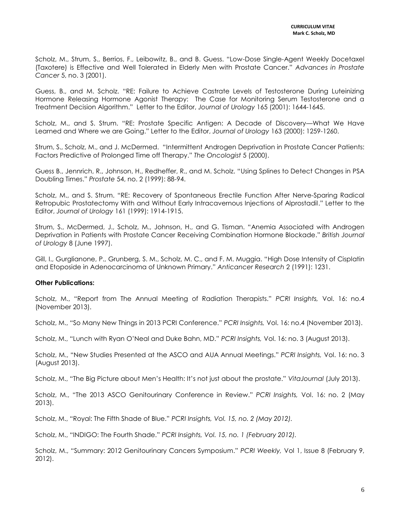Scholz, M., Strum, S., Berrios, F., Leibowitz, B., and B. Guess. "Low-Dose Single-Agent Weekly Docetaxel (Taxotere) is Effective and Well Tolerated in Elderly Men with Prostate Cancer." *Advances in Prostate Cancer* 5, no. 3 (2001).

Guess, B., and M. Scholz. "RE: Failure to Achieve Castrate Levels of Testosterone During Luteinizing Hormone Releasing Hormone Agonist Therapy: The Case for Monitoring Serum Testosterone and a Treatment Decision Algorithm." Letter to the Editor, *Journal of Urology* 165 (2001): 1644-1645.

Scholz, M., and S. Strum. "RE: Prostate Specific Antigen: A Decade of Discovery—What We Have Learned and Where we are Going." Letter to the Editor, *Journal of Urology* 163 (2000): 1259-1260.

Strum, S., Scholz, M., and J. McDermed. "Intermittent Androgen Deprivation in Prostate Cancer Patients: Factors Predictive of Prolonged Time off Therapy." *The Oncologist* 5 (2000).

Guess B., Jennrich, R., Johnson, H., Redheffer, R., and M. Scholz. "Using Splines to Detect Changes in PSA Doubling Times." *Prostate* 54, no. 2 (1999): 88-94.

Scholz, M., and S. Strum. "RE: Recovery of Spontaneous Erectile Function After Nerve-Sparing Radical Retropubic Prostatectomy With and Without Early Intracavernous Injections of Alprostadil." Letter to the Editor, *Journal of Urology* 161 (1999): 1914-1915.

Strum, S., McDermed, J., Scholz, M., Johnson, H., and G. Tisman. "Anemia Associated with Androgen Deprivation in Patients with Prostate Cancer Receiving Combination Hormone Blockade." *British Journal of Urology* 8 (June 1997).

Gill, I., Gurglianone, P., Grunberg, S. M., Scholz, M. C., and F. M. Muggia. "High Dose Intensity of Cisplatin and Etoposide in Adenocarcinoma of Unknown Primary." *Anticancer Research* 2 (1991): 1231.

### **Other Publications:**

Scholz, M., "Report from The Annual Meeting of Radiation Therapists." *PCRI Insights,* Vol. 16: no.4 (November 2013).

Scholz, M., "So Many New Things in 2013 PCRI Conference." *PCRI Insights,* Vol. 16: no.4 (November 2013).

Scholz, M., "Lunch with Ryan O'Neal and Duke Bahn, MD." *PCRI Insights,* Vol. 16: no. 3 (August 2013).

Scholz, M., "New Studies Presented at the ASCO and AUA Annual Meetings." *PCRI Insights,* Vol. 16: no. 3 (August 2013).

Scholz, M., "The Big Picture about Men's Health: It's not just about the prostate." *VitaJournal* (July 2013).

Scholz, M., "The 2013 ASCO Genitourinary Conference in Review." *PCRI Insights,* Vol. 16: no. 2 (May 2013).

Scholz, M., "Royal: The Fifth Shade of Blue." *PCRI Insights, Vol. 15, no. 2 (May 2012).*

Scholz, M., "INDIGO: The Fourth Shade." *PCRI Insights, Vol. 15, no. 1 (February 2012).*

Scholz, M., "[Summary: 2012 Genitourinary Cancers Symposium](http://prostate-cancer.org/PDFs/weekly-1-8.pdf)." *PCRI Weekly,* Vol 1, Issue 8 (February 9, 2012).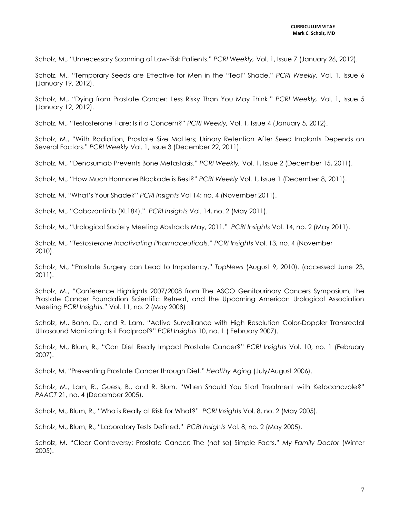Scholz, M., "Unnecessary Scanning of Low-Risk Patients." *PCRI Weekly,* Vol. 1, Issue 7 (January 26, 2012).

Scholz, M., "Temporary Seeds are Effective for Men in the "Teal" Shade." *PCRI Weekly,* Vol. 1, Issue 6 (January 19, 2012).

Scholz, M., "Dying from Prostate Cancer: Less Risky Than You May Think." *PCRI Weekly,* Vol. 1, Issue 5 (January 12, 2012).

Scholz, M., "Testosterone Flare: Is it a Concern?" *PCRI Weekly,* Vol. 1, Issue 4 (January 5, 2012).

Scholz, M., "With Radiation, Prostate Size Matters; Urinary Retention After Seed Implants Depends on Several Factors." *PCRI Weekly* Vol. 1, Issue 3 (December 22, 2011).

Scholz, M., "Denosumab Prevents Bone Metastasis." *PCRI Weekly,* Vol. 1, Issue 2 (December 15, 2011).

Scholz, M., "[How Much Hormone Blockade is Best?](http://prostate-cancer.org/PDFs/weekly-1-1.pdf)" *PCRI Weekly* Vol. 1, Issue 1 (December 8, 2011).

Scholz, M. "What's Your Shade?" *PCRI Insights* Vol 14: no. 4 (November 2011).

Scholz, M., "Cabozantinib (XL184)." *PCRI Insights* Vol. 14, no. 2 (May 2011).

Scholz, M., "Urological Society Meeting Abstracts May, 2011." *PCRI Insights* Vol. 14, no. 2 (May 2011).

Scholz, M., "*Testosterone Inactivating Pharmaceuticals*." *PCRI Insights* Vol. 13, no. 4 (November 2010).

Scholz, M., "Prostate Surgery can Lead to Impotency." *TopNews* (August 9, 2010). (accessed June 23, 2011).

Scholz, M., "Conference Highlights 2007/2008 from The ASCO Genitourinary Cancers Symposium, the Prostate Cancer Foundation Scientific Retreat, and the Upcoming American Urological Association Meeting *PCRI Insights."* Vol. 11, no. 2 (May 2008)

Scholz, M., Bahn, D., and R. Lam. "Active Surveillance with High Resolution Color-Doppler Transrectal Ultrasound Monitoring: Is it Foolproof?" *PCRI Insights* 10, no. 1 ( February 2007).

Scholz, M., Blum, R., "Can Diet Really Impact Prostate Cancer?" *PCRI Insights* Vol. 10, no. 1 (February 2007).

Scholz, M. "Preventing Prostate Cancer through Diet." *Healthy Aging* (July/August 2006).

Scholz, M., Lam, R., Guess, B., and R. Blum. "When Should You Start Treatment with Ketoconazole?" *PAACT* 21, no. 4 (December 2005).

Scholz, M., Blum, R., "Who is Really at Risk for What?" *PCRI Insights* Vol. 8, no. 2 (May 2005).

Scholz, M., Blum, R., "Laboratory Tests Defined." *PCRI Insights* Vol. 8, no. 2 (May 2005).

Scholz, M. "Clear Controversy: Prostate Cancer: The (not so) Simple Facts." *My Family Doctor* (Winter 2005).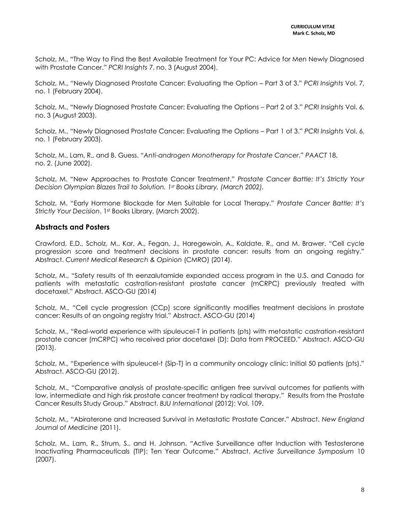Scholz, M., "The Way to Find the Best Available Treatment for Your PC: Advice for Men Newly Diagnosed with Prostate Cancer." *PCRI Insights* 7, no. 3 (August 2004).

Scholz, M., "Newly Diagnosed Prostate Cancer: Evaluating the Option – Part 3 of 3." *PCRI Insights* Vol. 7, no. 1 (February 2004).

Scholz, M., "Newly Diagnosed Prostate Cancer: Evaluating the Options – Part 2 of 3." *PCRI Insights* Vol. 6, no. 3 (August 2003).

Scholz, M., "Newly Diagnosed Prostate Cancer: Evaluating the Options – Part 1 of 3." *PCRI Insights* Vol. 6, no. 1 (February 2003).

Scholz, M., Lam, R., and B. Guess. "*Anti-androgen Monotherapy for Prostate Cancer*." *PAACT* 18, no. 2. (June 2002).

Scholz, M. "New Approaches to Prostate Cancer Treatment." *Prostate Cancer Battle: It's Strictly Your Decision Olympian Blazes Trail to Solution. 1st Books Library, (March 2002).* 

Scholz, M. "Early Hormone Blockade for Men Suitable for Local Therapy." *Prostate Cancer Battle: It's Strictly Your Decision*. 1st Books Library, (March 2002).

### **Abstracts and Posters**

Crawford, E.D., Scholz, M., Kar, A., Fegan, J., Haregewoin, A., Kaldate, R., and M. Brawer. "Cell cycle progression score and treatment decisions in prostate cancer: results from an ongoing registry." Abstract. *Current Medical Research & Opinion* (CMRO) (2014).

Scholz, M., "Safety results of th eenzalutamide expanded access program in the U.S. and Canada for patients with metastatic castration-resistant prostate cancer (mCRPC) previously treated with docetaxel." Abstract. ASCO-GU (2014)

Scholz, M., "Cell cycle progression (CCp) score significantly modifies treatment decisions in prostate cancer: Results of an ongoing registry trial." Abstract. ASCO-GU (2014)

Scholz, M., "Real-world experience with sipuleucel-T in patients (pts) with metastatic castration-resistant prostate cancer (mCRPC) who received prior docetaxel (D): Data from PROCEED." Abstract. ASCO-GU (2013).

Scholz, M., "Experience with sipuleucel-t (Sip-T) in a community oncology clinic: Initial 50 patients (pts)." Abstract. ASCO-GU (2012).

Scholz, M., "Comparative analysis of prostate-specific antigen free survival outcomes for patients with low, intermediate and high risk prostate cancer treatment by radical therapy." Results from the Prostate Cancer Results Study Group." Abstract. *BJU International* (2012): Vol. 109.

Scholz, M., "Abiraterone and Increased Survival in Metastatic Prostate Cancer." Abstract. *New England Journal of Medicine* (2011).

Scholz, M., Lam, R., Strum, S., and H. Johnson. "Active Surveillance after Induction with Testosterone Inactivating Pharmaceuticals (TIP): Ten Year Outcome." Abstract. *Active Surveillance Symposium* 10 (2007).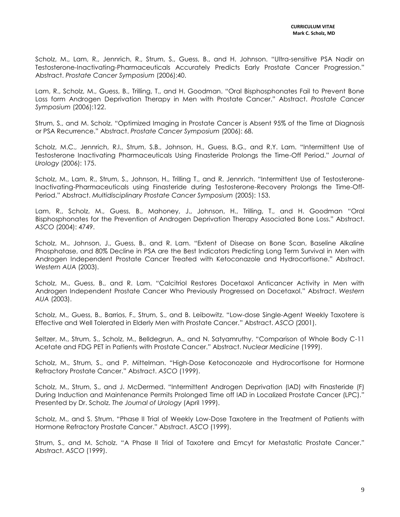Scholz, M., Lam, R., Jennrich, R., Strum, S., Guess, B., and H. Johnson. "Ultra-sensitive PSA Nadir on Testosterone-Inactivating-Pharmaceuticals Accurately Predicts Early Prostate Cancer Progression." Abstract. *Prostate Cancer Symposium* (2006):40.

Lam, R., Scholz, M., Guess, B., Trilling, T., and H. Goodman. "Oral Bisphosphonates Fail to Prevent Bone Loss form Androgen Deprivation Therapy in Men with Prostate Cancer." Abstract. *Prostate Cancer Symposium* (2006):122.

Strum, S., and M. Scholz. "Optimized Imaging in Prostate Cancer is Absent 95% of the Time at Diagnosis or PSA Recurrence." Abstract. *Prostate Cancer Symposium* (2006): 68.

Scholz, M.C., Jennrich, R.I., Strum, S.B., Johnson, H., Guess, B.G., and R.Y. Lam. "Intermittent Use of Testosterone Inactivating Pharmaceuticals Using Finasteride Prolongs the Time-Off Period." *Journal of Urology* (2006): 175.

Scholz, M., Lam, R., Strum, S., Johnson, H., Trilling T., and R. Jennrich. "Intermittent Use of Testosterone-Inactivating-Pharmaceuticals using Finasteride during Testosterone-Recovery Prolongs the Time-Off-Period." Abstract. *Multidisciplinary Prostate Cancer Symposium* (2005): 153.

Lam, R., Scholz, M., Guess, B., Mahoney, J., Johnson, H., Trilling, T., and H. Goodman "Oral Bisphosphonates for the Prevention of Androgen Deprivation Therapy Associated Bone Loss." Abstract. *ASCO* (2004): 4749.

Scholz, M., Johnson, J., Guess, B., and R. Lam. "Extent of Disease on Bone Scan, Baseline Alkaline Phosphatase, and 80% Decline in PSA are the Best Indicators Predicting Long Term Survival in Men with Androgen Independent Prostate Cancer Treated with Ketoconazole and Hydrocortisone." Abstract. *Western AUA* (2003).

Scholz, M., Guess, B., and R. Lam. "Calcitriol Restores Docetaxol Anticancer Activity in Men with Androgen Independent Prostate Cancer Who Previously Progressed on Docetaxol." Abstract. *Western AUA* (2003).

Scholz, M., Guess, B., Barrios, F., Strum, S., and B. Leibowitz. "Low-dose Single-Agent Weekly Taxotere is Effective and Well Tolerated in Elderly Men with Prostate Cancer." Abstract. *ASCO* (2001).

Seltzer, M., Strum, S., Scholz, M., Belldegrun, A., and N. Satyamruthy. "Comparison of Whole Body C-11 Acetate and FDG PET in Patients with Prostate Cancer." Abstract. *Nuclear Medicine* (1999).

Scholz, M., Strum, S., and P. Mittelman. "High-Dose Ketoconozole and Hydrocortisone for Hormone Refractory Prostate Cancer." Abstract. *ASCO* (1999).

Scholz, M., Strum, S., and J. McDermed. "Intermittent Androgen Deprivation (IAD) with Finasteride (F) During Induction and Maintenance Permits Prolonged Time off IAD in Localized Prostate Cancer (LPC)." Presented by Dr. Scholz. *The Journal of Urology* (April 1999).

Scholz, M., and S. Strum. "Phase II Trial of Weekly Low-Dose Taxotere in the Treatment of Patients with Hormone Refractory Prostate Cancer." Abstract. *ASCO* (1999).

Strum, S., and M. Scholz. "A Phase II Trial of Taxotere and Emcyt for Metastatic Prostate Cancer." Abstract. *ASCO* (1999).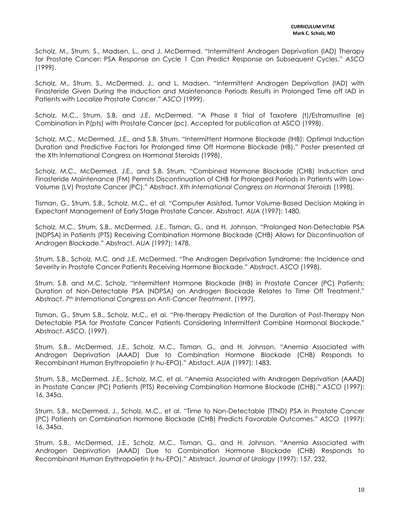Scholz, M., Strum, S., Madsen, L., and J. McDermed. "Intermittent Androgen Deprivation (IAD) Therapy for Prostate Cancer: PSA Response on Cycle 1 Can Predict Response on Subsequent Cycles." *ASCO* (1999).

Scholz, M., Strum, S., McDermed, J., and L. Madsen. "Intermittent Androgen Deprivation (IAD) with Finasteride Given During the Induction and Maintenance Periods Results in Prolonged Time off IAD in Patients with Localize Prostate Cancer." *ASCO* (1999).

Scholz, M.C., Strum, S.B, and J.E. McDermed. "A Phase II Trial of Taxotere (t)/Estramustine (e) Combination in P(pts) with Prostate Cancer (pc). Accepted for publication at ASCO (1998).

Scholz, M.C., McDermed, J.E., and S.B. Strum. "Intermittent Hormone Blockade (IHB): Optimal Induction Duration and Predictive Factors for Prolonged time Off Hormone Blockade (HB)." Poster presented at the Xth International Congress on Hormonal Steroids (1998).

Scholz, M.C., McDermed, J.E., and S.B. Strum. "Combined Hormone Blockade (CHB) Induction and Finasteride Maintenance (FM) Permits Discontinuation of CHB for Prolonged Periods in Patients with Low-Volume (LV) Prostate Cancer (PC)." Abstract. *Xth International Congress on Hormonal Steroids* (1998).

Tisman, G., Strum, S.B., Scholz, M.C., et al. "Computer Assisted, Tumor Volume-Based Decision Making in Expectant Management of Early Stage Prostate Cancer. Abstract. *AUA* (1997): 1480.

Scholz, M.C., Strum, S.B., McDermed, J.E., Tisman, G., and H. Johnson. "Prolonged Non-Detectable PSA (NDPSA) in Patients (PTS) Receiving Combination Hormone Blockade (CHB) Allows for Discontinuation of Androgen Blockade." Abstract. *AUA* (1997): 1478.

Strum, S.B., Scholz, M.C. and J.E. McDermed. "The Androgen Deprivation Syndrome: the Incidence and Severity in Prostate Cancer Patients Receiving Hormone Blockade." Abstract. *ASCO* (1998).

Strum, S.B. and M.C. Scholz. "Intermittent Hormone Blockade (IHB) in Prostate Cancer (PC) Patients: Duration of Non-Detectable PSA (NDPSA) on Androgen Blockade Relates to Time Off Treatment." Abstract. *7th International Congress on Anti-Cancer Treatment*. (1997).

Tisman, G., Strum S.B., Scholz, M.C., et al. "Pre-therapy Prediction of the Duration of Post-Therapy Non Detectable PSA for Prostate Cancer Patients Considering Intermittent Combine Hormonal Blockade." Abstract. *ASCO*. (1997).

Strum, S.B., McDermed, J.E., Scholz, M.C., Tisman, G., and H. Johnson. "Anemia Associated with Androgen Deprivation (AAAD) Due to Combination Hormone Blockade (CHB) Responds to Recombinant Human Erythropoietin (r hu-EPO)." Abstact. *AUA* (1997): 1483.

Strum, S.B., McDermed, J.E., Scholz, M.C. et al. "Anemia Associated with Androgen Deprivation (AAAD) in Prostate Cancer (PC) Patients (PTS) Receiving Combination Hormone Blockade (CHB)." *ASCO* (1997): 16, 345a.

Strum, S.B., McDermed, J., Scholz, M.C., et al. "Time to Non-Detectable (TTND) PSA in Prostate Cancer (PC) Patients on Combination Hormone Blockade (CHB) Predicts Favorable Outcomes." *ASCO* (1997): 16, 345a.

Strum, S.B., McDermed, J.E., Scholz, M.C., Tisman, G., and H. Johnson. "Anemia Associated with Androgen Deprivation (AAAD) Due to Combination Hormone Blockade (CHB) Responds to Recombinant Human Erythropoietin (r hu-EPO)." Abstract. *Journal of Urology* (1997): 157, 232.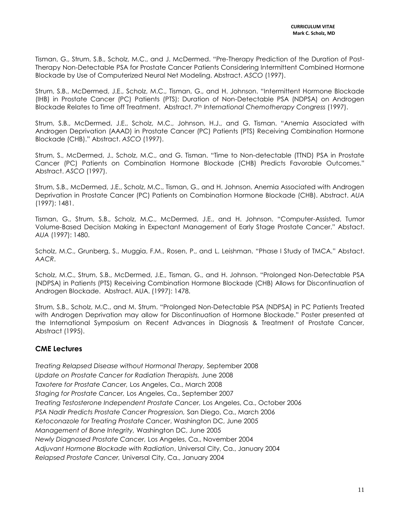Tisman, G., Strum, S.B., Scholz, M.C., and J. McDermed. "Pre-Therapy Prediction of the Duration of Post-Therapy Non-Detectable PSA for Prostate Cancer Patients Considering Intermittent Combined Hormone Blockade by Use of Computerized Neural Net Modeling. Abstract. *ASCO* (1997).

Strum, S.B., McDermed, J.E., Scholz, M.C., Tisman, G., and H. Johnson. "Intermittent Hormone Blockade (IHB) in Prostate Cancer (PC) Patients (PTS): Duration of Non-Detectable PSA (NDPSA) on Androgen Blockade Relates to Time off Treatment. Abstract. *7th International Chemotherapy Congress* (1997).

Strum, S.B., McDermed, J.E., Scholz, M.C., Johnson, H.J., and G. Tisman. "Anemia Associated with Androgen Deprivation (AAAD) in Prostate Cancer (PC) Patients (PTS) Receiving Combination Hormone Blockade (CHB)." Abstract. *ASCO* (1997).

Strum, S., McDermed, J., Scholz, M.C., and G. Tisman. "Time to Non-detectable (TTND) PSA in Prostate Cancer (PC) Patients on Combination Hormone Blockade (CHB) Predicts Favorable Outcomes." Abstract. *ASCO* (1997).

Strum, S.B., McDermed, J.E., Scholz, M.C., Tisman, G., and H. Johnson. Anemia Associated with Androgen Deprivation in Prostate Cancer (PC) Patients on Combination Hormone Blockade (CHB). Abstract. *AUA* (1997): 1481.

Tisman, G., Strum, S.B., Scholz, M.C., McDermed, J.E., and H. Johnson. "Computer-Assisted, Tumor Volume-Based Decision Making in Expectant Management of Early Stage Prostate Cancer." Abstact. *AUA* (1997): 1480.

Scholz, M.C., Grunberg, S., Muggia, F.M., Rosen, P., and L. Leishman. "Phase I Study of TMCA." Abstact. *AACR*.

Scholz, M.C., Strum, S.B., McDermed, J.E., Tisman, G., and H. Johnson. "Prolonged Non-Detectable PSA (NDPSA) in Patients (PTS) Receiving Combination Hormone Blockade (CHB) Allows for Discontinuation of Androgen Blockade. Abstract. AUA. (1997): 1478.

Strum, S.B., Scholz, M.C., and M. Strum. "Prolonged Non-Detectable PSA (NDPSA) in PC Patients Treated with Androgen Deprivation may allow for Discontinuation of Hormone Blockade." Poster presented at the International Symposium on Recent Advances in Diagnosis & Treatment of Prostate Cancer, Abstract (1995).

# **CME Lectures**

*Treating Relapsed Disease without Hormonal Therapy,* September 2008 *Update on Prostate Cancer for Radiation Therapists,* June 2008 *Taxotere for Prostate Cancer,* Los Angeles, Ca., March 2008 *Staging for Prostate Cancer,* Los Angeles, Ca., September 2007 *Treating Testosterone Independent Prostate Cancer,* Los Angeles, Ca., October 2006 *PSA Nadir Predicts Prostate Cancer Progression,* San Diego, Ca., March 2006 *Ketoconazole for Treating Prostate Cancer*, Washington DC, June 2005 *Management of Bone Integrity,* Washington DC, June 2005 *Newly Diagnosed Prostate Cancer,* Los Angeles, Ca., November 2004 *Adjuvant Hormone Blockade with Radiation*, Universal City, Ca., January 2004 *Relapsed Prostate Cancer,* Universal City, Ca., January 2004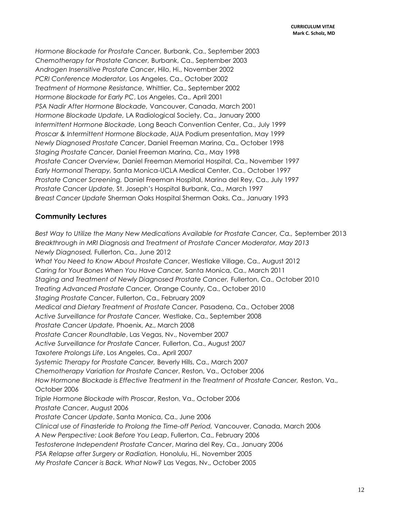*Hormone Blockade for Prostate Cancer,* Burbank, Ca., September 2003 *Chemotherapy for Prostate Cancer,* Burbank, Ca., September 2003 *Androgen Insensitive Prostate Cancer*, Hilo, Hi., November 2002 *PCRI Conference Moderator,* Los Angeles, Ca., October 2002 *Treatment of Hormone Resistance,* Whittier, Ca., September 2002 *Hormone Blockade for Early PC*, Los Angeles, Ca., April 2001 *PSA Nadir After Hormone Blockade,* Vancouver, Canada, March 2001 *Hormone Blockade Update,* LA Radiological Society, Ca., January 2000 *Intermittent Hormone Blockade,* Long Beach Convention Center, Ca., July 1999 *Proscar & Intermittent Hormone Blockade*, AUA Podium presentation, May 1999 *Newly Diagnosed Prostate Cancer*, Daniel Freeman Marina, Ca., October 1998 *Staging Prostate Cancer,* Daniel Freeman Marina, Ca., May 1998 *Prostate Cancer Overview,* Daniel Freeman Memorial Hospital, Ca., November 1997 *Early Hormonal Therapy,* Santa Monica-UCLA Medical Center, Ca., October 1997 *Prostate Cancer Screening,* Daniel Freeman Hospital, Marina del Rey, Ca., July 1997 *Prostate Cancer Update,* St. Joseph's Hospital Burbank, Ca., March 1997 *Breast Cancer Update* Sherman Oaks Hospital Sherman Oaks, Ca., January 1993

# **Community Lectures**

*Best Way to Utilize the Many New Medications Available for Prostate Cancer, Ca.,* September 2013 *Breakthrough in MRI Diagnosis and Treatment of Prostate Cancer Moderator, May 2013 Newly Diagnosed,* Fullerton, Ca., June 2012 *What You Need to Know About Prostate Cancer*, Westlake Village, Ca., August 2012 *Caring for Your Bones When You Have Cancer,* Santa Monica, Ca., March 2011 *Staging and Treatment of Newly Diagnosed Prostate Cancer,* Fullerton, Ca., October 2010 *Treating Advanced Prostate Cancer,* Orange County, Ca., October 2010 *Staging Prostate Cancer*, Fullerton, Ca., February 2009 *Medical and Dietary Treatment of Prostate Cancer,* Pasadena, Ca., October 2008 *Active Surveillance for Prostate Cancer,* Westlake, Ca., September 2008 *Prostate Cancer Update,* Phoenix, Az., March 2008 *Prostate Cancer Roundtable*, Las Vegas, Nv., November 2007 *Active Surveillance for Prostate Cancer,* Fullerton, Ca., August 2007 *Taxotere Prolongs Life*, Los Angeles, Ca., April 2007 *Systemic Therapy for Prostate Cancer,* Beverly Hills, Ca., March 2007 *Chemotherapy Variation for Prostate Cancer*, Reston, Va., October 2006 How Hormone Blockade is Effective Treatment in the Treatment of Prostate Cancer, Reston, Va., October 2006 *Triple Hormone Blockade with Proscar*, Reston, Va., October 2006 *Prostate Cancer*, August 2006 *Prostate Cancer Update*, Santa Monica, Ca., June 2006 *Clinical use of Finasteride to Prolong the Time-off Period,* Vancouver, Canada, March 2006 *A New Perspective: Look Before You Leap*, Fullerton, Ca., February 2006 *Testosterone Independent Prostate Cancer*, Marina del Rey, Ca., January 2006 *PSA Relapse after Surgery or Radiation,* Honolulu, Hi., November 2005 *My Prostate Cancer is Back. What Now?* Las Vegas, Nv., October 2005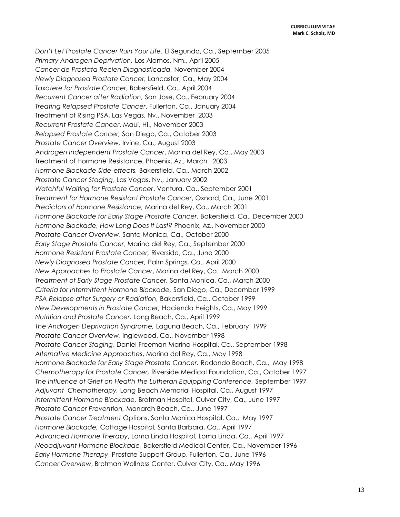*Don't Let Prostate Cancer Ruin Your Life*, El Segundo, Ca., September 2005 *Primary Androgen Deprivation,* Los Alamos, Nm., April 2005 *Cancer de Prostata Recien Diagnosticada,* November 2004 *Newly Diagnosed Prostate Cancer,* Lancaster, Ca., May 2004 *Taxotere for Prostate Cancer*, Bakersfield, Ca., April 2004 *Recurrent Cancer after Radiation,* San Jose, Ca., February 2004 *Treating Relapsed Prostate Cancer*, Fullerton, Ca., January 2004 Treatment of Rising PSA, Las Vegas, Nv., November 2003 *Recurrent Prostate Cancer*, Maui, Hi., November 2003 *Relapsed Prostate Cancer,* San Diego, Ca., October 2003 *Prostate Cancer Overview,* Irvine, Ca., August 2003 *Androgen Independent Prostate Cancer*, Marina del Rey, Ca., May 2003 Treatment of Hormone Resistance, Phoenix, Az., March 2003 *Hormone Blockade Side-effects,* Bakersfield, Ca., March 2002 *Prostate Cancer Staging*, Las Vegas, Nv., January 2002 *Watchful Waiting for Prostate Cancer*, Ventura, Ca., September 2001 *Treatment for Hormone Resistant Prostate Cancer*, Oxnard, Ca., June 2001 *Predictors of Hormone Resistance,* Marina del Rey, Ca., March 2001 *Hormone Blockade for Early Stage Prostate Cancer*, Bakersfield, Ca., December 2000 *Hormone Blockade, How Long Does it Last?* Phoenix, Az., November 2000 *Prostate Cancer Overview,* Santa Monica, Ca., October 2000 *Early Stage Prostate Cancer*, Marina del Rey, Ca., September 2000 *Hormone Resistant Prostate Cancer,* Riverside, Ca., June 2000 *Newly Diagnosed Prostate Cancer,* Palm Springs, Ca., April 2000 *New Approaches to Prostate Cancer*, Marina del Rey, Ca. March 2000 *Treatment of Early Stage Prostate Cancer,* Santa Monica, Ca., March 2000 *Criteria for Intermittent Hormone Blockade,* San Diego, Ca., December 1999 *PSA Relapse after Surgery or Radiation,* Bakersfield, Ca., October 1999 *New Developments in Prostate Cancer,* Hacienda Heights, Ca., May 1999 *Nutrition and Prostate Cancer,* Long Beach, Ca., April 1999 *The Androgen Deprivation Syndrome,* Laguna Beach, Ca., February 1999 *Prostate Cancer Overview,* Inglewood, Ca., November 1998 *Prostate Cancer Staging*, Daniel Freeman Marina Hospital, Ca., September 1998 *Alternative Medicine Approaches*, Marina del Rey, Ca., May 1998 *Hormone Blockade for Early Stage Prostate Cancer,* Redondo Beach, Ca., May 1998 *Chemotherapy for Prostate Cancer,* Riverside Medical Foundation, Ca., October 1997 *The Influence of Grief on Health the Lutheran Equipping Conference,* September 1997 *Adjuvant Chemotherapy,* Long Beach Memorial Hospital, Ca., August 1997 *Intermittent Hormone Blockade,* Brotman Hospital, Culver City, Ca., June 1997 *Prostate Cancer Prevention,* Monarch Beach, Ca., June 1997 *Prostate Cancer Treatment* Options, Santa Monica Hospital, Ca., May 1997 *Hormone Blockade,* Cottage Hospital, Santa Barbara, Ca., April 1997 *Advanced Hormone Therapy*, Loma Linda Hospital, Loma Linda, Ca., April 1997 *Neoadjuvant Hormone Blockade*, Bakersfield Medical Center, Ca., November 1996 *Early Hormone Therapy*, Prostate Support Group, Fullerton, Ca., June 1996 *Cancer Overview*, Brotman Wellness Center, Culver City, Ca., May 1996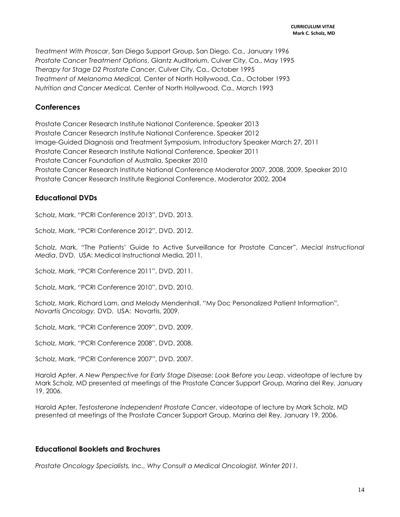*Treatment With Proscar*, San Diego Support Group, San Diego, Ca., January 1996 *Prostate Cancer Treatment Options*, Glantz Auditorium, Culver City, Ca., May 1995 *Therapy for Stage D2 Prostate Cancer*, Culver City, Ca., October 1995 *Treatment of Melanoma Medical,* Center of North Hollywood, Ca., October 1993 *Nutrition and Cancer Medical,* Center of North Hollywood, Ca., March 1993

# **Conferences**

Prostate Cancer Research Institute National Conference, Speaker 2013 Prostate Cancer Research Institute National Conference, Speaker 2012 Image-Guided Diagnosis and Treatment Symposium, Introductory Speaker March 27, 2011 Prostate Cancer Research Institute National Conference, Speaker 2011 Prostate Cancer Foundation of Australia, Speaker 2010 Prostate Cancer Research Institute National Conference Moderator 2007, 2008, 2009, Speaker 2010 Prostate Cancer Research Institute Regional Conference, Moderator 2002, 2004

### **Educational DVDs**

Scholz, Mark, "PCRI Conference 2013", DVD. 2013.

Scholz, Mark, "PCRI Conference 2012", DVD. 2012.

Scholz, Mark, "The Patients' Guide to Active Surveillance for Prostate Cancer", *Mecial Instructional Media*, DVD. USA: Medical Instructional Media, 2011.

Scholz, Mark, "PCRI Conference 2011", DVD. 2011.

Scholz, Mark, "PCRI Conference 2010", DVD. 2010.

Scholz, Mark, Richard Lam, and Melody Mendenhall. "My Doc Personalized Patient Information", *Novartis Oncology,* DVD. USA: Novartis, 2009.

Scholz, Mark, "PCRI Conference 2009", DVD. 2009.

Scholz, Mark, "PCRI Conference 2008", DVD. 2008.

Scholz, Mark, "PCRI Conference 2007", DVD. 2007.

Harold Apter, *A New Perspective for Early Stage Disease: Look Before you Leap*, videotape of lecture by Mark Scholz, MD presented at meetings of the Prostate Cancer Support Group, Marina del Rey, January 19, 2006.

Harold Apter, *Testosterone Independent Prostate Cancer*, videotape of lecture by Mark Scholz, MD presented at meetings of the Prostate Cancer Support Group, Marina del Rey, January 19, 2006.

### **Educational Booklets and Brochures**

*Prostate Oncology Specialists, Inc., Why Consult a Medical Oncologist, Winter 2011.*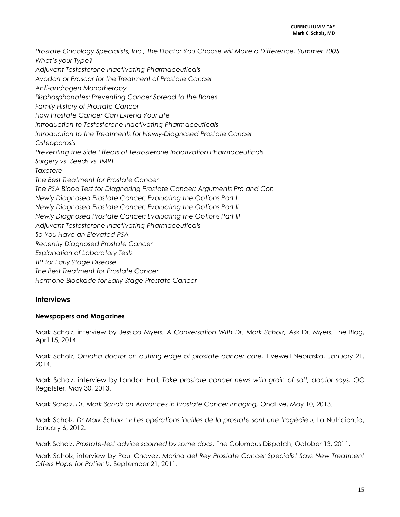*Prostate Oncology Specialists, Inc., The Doctor You Choose will Make a Difference, Summer 2005. What's your Type? Adjuvant Testosterone Inactivating Pharmaceuticals Avodart or Proscar for the Treatment of Prostate Cancer Anti-androgen Monotherapy Bisphosphonates: Preventing Cancer Spread to the Bones Family History of Prostate Cancer How Prostate Cancer Can Extend Your Life Introduction to Testosterone Inactivating Pharmaceuticals Introduction to the Treatments for Newly-Diagnosed Prostate Cancer Osteoporosis Preventing the Side Effects of Testosterone Inactivation Pharmaceuticals Surgery vs. Seeds vs. IMRT Taxotere The Best Treatment for Prostate Cancer The PSA Blood Test for Diagnosing Prostate Cancer: Arguments Pro and Con Newly Diagnosed Prostate Cancer: Evaluating the Options Part I Newly Diagnosed Prostate Cancer: Evaluating the Options Part II Newly Diagnosed Prostate Cancer: Evaluating the Options Part III Adjuvant Testosterone Inactivating Pharmaceuticals So You Have an Elevated PSA Recently Diagnosed Prostate Cancer Explanation of Laboratory Tests TIP for Early Stage Disease The Best Treatment for Prostate Cancer Hormone Blockade for Early Stage Prostate Cancer*

### **Interviews**

### **Newspapers and Magazines**

Mark Scholz, interview by Jessica Myers, *A Conversation With Dr. Mark Scholz,* Ask Dr. Myers, The Blog, April 15, 2014.

Mark Scholz, *Omaha doctor on cutting edge of prostate cancer care,* Livewell Nebraska, January 21, 2014.

Mark Scholz, interview by Landon Hall, *Take prostate cancer news with grain of salt, doctor says,* OC Registster, May 30, 2013.

Mark Scholz, *Dr. Mark Scholz on Advances in Prostate Cancer Imaging,* OncLive, May 10, 2013.

Mark Scholz*, Dr Mark Scholz : « Les opérations inutiles de la prostate sont une tragédie.»*, La Nutricion.fa, January 6, 2012.

Mark Scholz, *Prostate-test advice scorned by some docs,* The Columbus Dispatch, October 13, 2011.

Mark Scholz, interview by Paul Chavez, *Marina del Rey Prostate Cancer Specialist Says New Treatment Offers Hope for Patients,* September 21, 2011.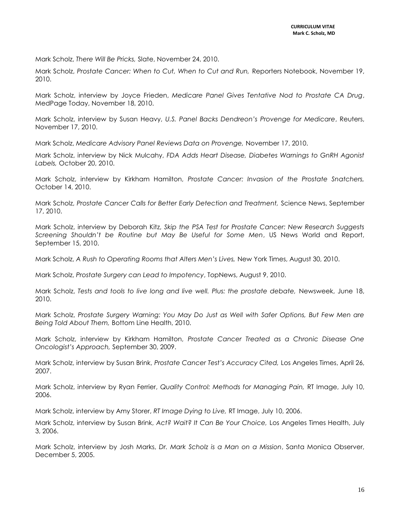Mark Scholz, *There Will Be Pricks,* Slate, November 24, 2010.

Mark Scholz, *Prostate Cancer: When to Cut, When to Cut and Run,* Reporters Notebook, November 19, 2010.

Mark Scholz, interview by Joyce Frieden, *Medicare Panel Gives Tentative Nod to Prostate CA Drug*, MedPage Today, November 18, 2010.

Mark Scholz, interview by Susan Heavy, *U.S. Panel Backs Dendreon's Provenge for Medicare*, Reuters, November 17, 2010.

Mark Scholz, *Medicare Advisory Panel Reviews Data on Provenge,* November 17, 2010.

Mark Scholz, interview by Nick Mulcahy, *FDA Adds Heart Disease, Diabetes Warnings to GnRH Agonist Labels,* October 20, 2010.

Mark Scholz, interview by Kirkham Hamilton, *Prostate Cancer: Invasion of the Prostate Snatchers,*  October 14, 2010.

Mark Scholz, *Prostate Cancer Calls for Better Early Detection and Treatment,* Science News, September 17, 2010.

Mark Scholz, interview by Deborah Kitz, *Skip the PSA Test for Prostate Cancer: New Research Suggests Screening Shouldn't be Routine but May Be Useful for Some Men*, US News World and Report, September 15, 2010.

Mark Scholz, *A Rush to Operating Rooms that Alters Men's Lives,* New York Times, August 30, 2010.

Mark Scholz, *Prostate Surgery can Lead to Impotency*, TopNews, August 9, 2010.

Mark Scholz, *Tests and tools to live long and live well. Plus: the prostate debate,* Newsweek, June 18, 2010.

Mark Scholz, *Prostate Surgery Warning: You May Do Just as Well with Safer Options, But Few Men are Being Told About Them,* Bottom Line Health, 2010.

Mark Scholz, interview by Kirkham Hamilton, *Prostate Cancer Treated as a Chronic Disease One Oncologist's Approach,* September 30, 2009.

Mark Scholz, interview by Susan Brink, *Prostate Cancer Test's Accuracy Cited,* Los Angeles Times, April 26, 2007.

Mark Scholz, interview by Ryan Ferrier, *Quality Control: Methods for Managing Pain,* RT Image, July 10, 2006.

Mark Scholz, interview by Amy Storer, *RT Image Dying to Live,* RT Image, July 10, 2006.

Mark Scholz, interview by Susan Brink, *Act? Wait? It Can Be Your Choice,* Los Angeles Times Health, July 3, 2006.

Mark Scholz, interview by Josh Marks, *Dr. Mark Scholz is a Man on a Mission*, Santa Monica Observer, December 5, 2005.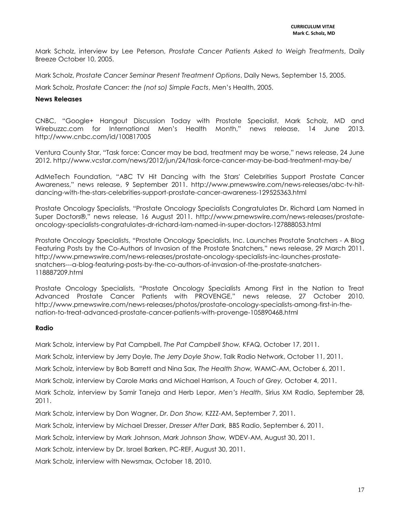Mark Scholz, interview by Lee Peterson, *Prostate Cancer Patients Asked to Weigh Treatments*, Daily Breeze October 10, 2005.

Mark Scholz, *Prostate Cancer Seminar Present Treatment Options*, Daily News, September 15, 2005.

Mark Scholz, *Prostate Cancer: the (not so) Simple Facts*, Men's Health, 2005.

#### **News Releases**

CNBC, "Google+ Hangout Discussion Today with Prostate Specialist, Mark Scholz, MD and Wirebuzzc.com for International Men's Health Month," news release, 14 June 2013. http://www.cnbc.com/id/100817005

Ventura County Star, "Task force: Cancer may be bad, treatment may be worse," news release, 24 June 2012. http://www.vcstar.com/news/2012/jun/24/task-force-cancer-may-be-bad-treatment-may-be/

AdMeTech Foundation, "ABC TV Hit Dancing with the Stars' Celebrities Support Prostate Cancer Awareness," news release, 9 September 2011. http://www.prnewswire.com/news-releases/abc-tv-hitdancing-with-the-stars-celebrities-support-prostate-cancer-awareness-129525363.html

Prostate Oncology Specialists, "Prostate Oncology Specialists Congratulates Dr. Richard Lam Named in Super Doctors®," news release, 16 August 2011. http://www.prnewswire.com/news-releases/prostateoncology-specialists-congratulates-dr-richard-lam-named-in-super-doctors-127888053.html

Prostate Oncology Specialists, "Prostate Oncology Specialists, Inc. Launches Prostate Snatchers - A Blog Featuring Posts by the Co-Authors of Invasion of the Prostate Snatchers," news release, 29 March 2011. http://www.prnewswire.com/news-releases/prostate-oncology-specialists-inc-launches-prostatesnatchers---a-blog-featuring-posts-by-the-co-authors-of-invasion-of-the-prostate-snatchers-118887209.html

Prostate Oncology Specialists, "Prostate Oncology Specialists Among First in the Nation to Treat Advanced Prostate Cancer Patients with PROVENGE," news release, 27 October 2010. http://www.prnewswire.com/news-releases/photos/prostate-oncology-specialists-among-first-in-thenation-to-treat-advanced-prostate-cancer-patients-with-provenge-105890468.html

### **Radio**

Mark Scholz, interview by Pat Campbell, *The Pat Campbell Show,* KFAQ, October 17, 2011.

Mark Scholz, interview by Jerry Doyle, *The Jerry Doyle Show*, Talk Radio Network, October 11, 2011.

Mark Scholz, interview by Bob Barrett and Nina Sax, *The Health Show,* WAMC-AM, October 6, 2011.

Mark Scholz, interview by Carole Marks and Michael Harrison, *A Touch of Grey,* October 4, 2011.

Mark Scholz, interview by Samir Taneja and Herb Lepor, *Men's Health*, Sirius XM Radio, September 28, 2011.

Mark Scholz, interview by Don Wagner, *Dr. Don Show,* KZZZ-AM, September 7, 2011.

Mark Scholz, interview by Michael Dresser, *Dresser After Dark,* BBS Radio, September 6, 2011.

Mark Scholz, interview by Mark Johnson, *Mark Johnson Show,* WDEV-AM, August 30, 2011.

Mark Scholz, interview by Dr. Israel Barken, PC-REF, August 30, 2011.

Mark Scholz, interview with Newsmax, October 18, 2010.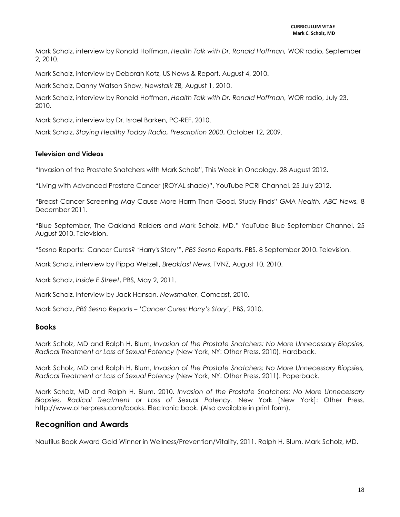Mark Scholz, interview by Ronald Hoffman, *Health Talk with Dr. Ronald Hoffman,* WOR radio, September 2, 2010.

Mark Scholz, interview by Deborah Kotz, US News & Report, August 4, 2010.

Mark Scholz, Danny Watson Show, *Newstalk ZB,* August 1, 2010.

Mark Scholz, interview by Ronald Hoffman, *Health Talk with Dr. Ronald Hoffman,* WOR radio, July 23, 2010.

Mark Scholz, interview by Dr. Israel Barken, PC-REF, 2010.

Mark Scholz, *Staying Healthy Today Radio, Prescription 2000*, October 12, 2009.

#### **Television and Videos**

"Invasion of the Prostate Snatchers with Mark Scholz", This Week in Oncology. 28 August 2012.

"Living with Advanced Prostate Cancer (ROYAL shade)", YouTube PCRI Channel. 25 July 2012.

"Breast Cancer Screening May Cause More Harm Than Good, Study Finds" *GMA Health, ABC News,* 8 December 2011.

"Blue September, The Oakland Raiders and Mark Scholz, MD." YouTube Blue September Channel. 25 August 2010. Television.

"Sesno Reports: Cancer Cures? 'Harry's Story'", *PBS Sesno Reports*. PBS. 8 September 2010. Television.

Mark Scholz, interview by Pippa Wetzell, *Breakfast News*, TVNZ, August 10, 2010.

Mark Scholz, *Inside E Street*, PBS, May 2, 2011.

Mark Scholz, interview by Jack Hanson, *Newsmaker*, Comcast, 2010.

Mark Scholz, *PBS Sesno Reports – 'Cancer Cures: Harry's Story'*, PBS, 2010.

### **Books**

Mark Scholz, MD and Ralph H. Blum, *Invasion of the Prostate Snatchers: No More Unnecessary Biopsies, Radical Treatment or Loss of Sexual Potency* (New York, NY: Other Press, 2010). Hardback.

Mark Scholz, MD and Ralph H. Blum, *Invasion of the Prostate Snatchers: No More Unnecessary Biopsies, Radical Treatment or Loss of Sexual Potency* (New York, NY: Other Press, 2011). Paperback.

Mark Scholz, MD and Ralph H. Blum. 2010. *Invasion of the Prostate Snatchers: No More Unnecessary Biopsies, Radical Treatment or Loss of Sexual Potency.* New York [New York]: Other Press. [http://www.otherpress.com/books.](http://www.otherpress.com/books) Electronic book. (Also available in print form).

### **Recognition and Awards**

Nautilus Book Award Gold Winner in Wellness/Prevention/Vitality, 2011. Ralph H. Blum, Mark Scholz, MD.